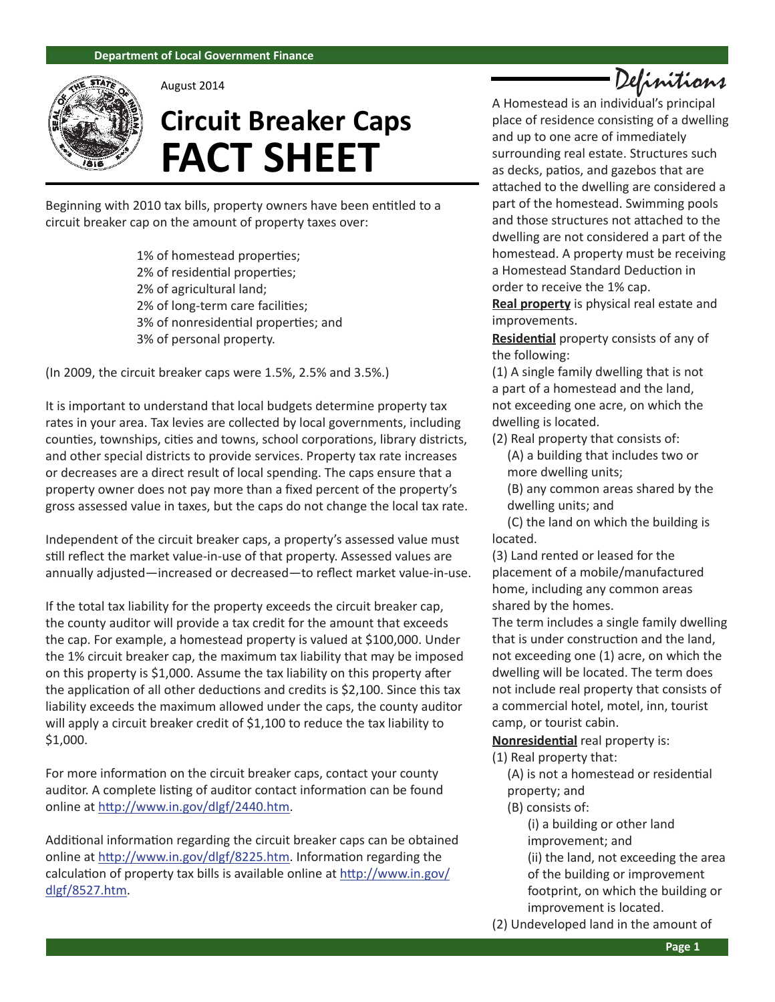

August 2014

# **Circuit Breaker Caps FACT SHEET**

Beginning with 2010 tax bills, property owners have been entitled to a circuit breaker cap on the amount of property taxes over:

> 1% of homestead properties; 2% of residential properties; 2% of agricultural land; 2% of long-term care facilities; 3% of nonresidential properties; and 3% of personal property.

(In 2009, the circuit breaker caps were 1.5%, 2.5% and 3.5%.)

It is important to understand that local budgets determine property tax rates in your area. Tax levies are collected by local governments, including counties, townships, cities and towns, school corporations, library districts, and other special districts to provide services. Property tax rate increases or decreases are a direct result of local spending. The caps ensure that a property owner does not pay more than a fixed percent of the property's gross assessed value in taxes, but the caps do not change the local tax rate.

Independent of the circuit breaker caps, a property's assessed value must still reflect the market value-in-use of that property. Assessed values are annually adjusted—increased or decreased—to reflect market value-in-use.

If the total tax liability for the property exceeds the circuit breaker cap, the county auditor will provide a tax credit for the amount that exceeds the cap. For example, a homestead property is valued at \$100,000. Under the 1% circuit breaker cap, the maximum tax liability that may be imposed on this property is \$1,000. Assume the tax liability on this property after the application of all other deductions and credits is \$2,100. Since this tax liability exceeds the maximum allowed under the caps, the county auditor will apply a circuit breaker credit of \$1,100 to reduce the tax liability to \$1,000.

For more information on the circuit breaker caps, contact your county auditor. A complete listing of auditor contact information can be found online at http://www.in.gov/dlgf/2440.htm.

Additional information regarding the circuit breaker caps can be obtained online at http://www.in.gov/dlgf/8225.htm. Information regarding the calculation of property tax bills is available online at http://www.in.gov/ dlgf/8527.htm.

Definitions

A Homestead is an individual's principal place of residence consisting of a dwelling and up to one acre of immediately surrounding real estate. Structures such as decks, patios, and gazebos that are attached to the dwelling are considered a part of the homestead. Swimming pools and those structures not attached to the dwelling are not considered a part of the homestead. A property must be receiving a Homestead Standard Deduction in order to receive the 1% cap.

**Real property** is physical real estate and improvements.

**Residential** property consists of any of the following:

(1) A single family dwelling that is not a part of a homestead and the land, not exceeding one acre, on which the dwelling is located.

(2) Real property that consists of: (A) a building that includes two or more dwelling units;

(B) any common areas shared by the dwelling units; and

(C) the land on which the building is located.

(3) Land rented or leased for the placement of a mobile/manufactured home, including any common areas shared by the homes.

The term includes a single family dwelling that is under construction and the land, not exceeding one (1) acre, on which the dwelling will be located. The term does not include real property that consists of a commercial hotel, motel, inn, tourist camp, or tourist cabin.

**Nonresidential** real property is:

(1) Real property that:

(A) is not a homestead or residential property; and

#### (B) consists of:

(i) a building or other land improvement; and (ii) the land, not exceeding the area of the building or improvement footprint, on which the building or improvement is located.

(2) Undeveloped land in the amount of